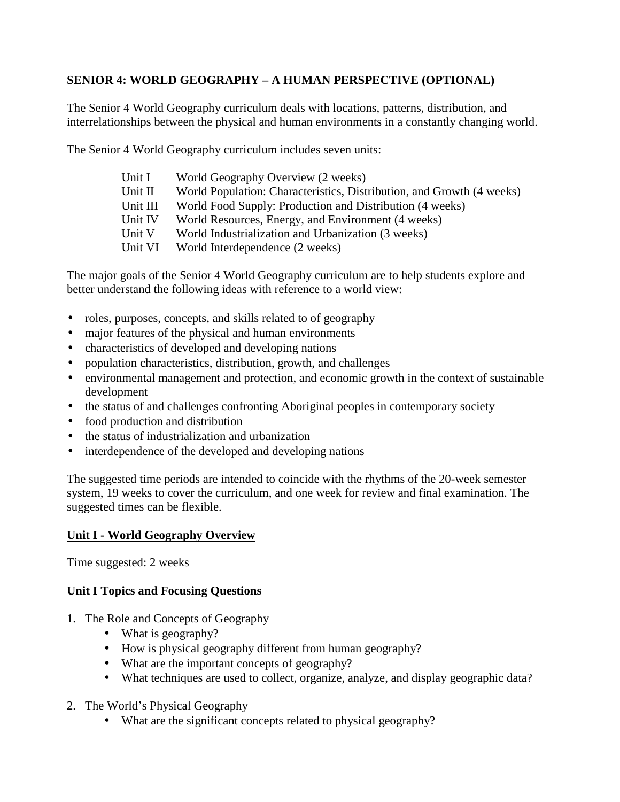## **SENIOR 4: WORLD GEOGRAPHY – A HUMAN PERSPECTIVE (OPTIONAL)**

The Senior 4 World Geography curriculum deals with locations, patterns, distribution, and interrelationships between the physical and human environments in a constantly changing world.

The Senior 4 World Geography curriculum includes seven units:

- Unit I World Geography Overview (2 weeks)
- Unit II World Population: Characteristics, Distribution, and Growth (4 weeks)
- Unit III World Food Supply: Production and Distribution (4 weeks)
- Unit IV World Resources, Energy, and Environment (4 weeks)
- Unit V World Industrialization and Urbanization (3 weeks)
- Unit VI World Interdependence (2 weeks)

The major goals of the Senior 4 World Geography curriculum are to help students explore and better understand the following ideas with reference to a world view:

- roles, purposes, concepts, and skills related to of geography
- major features of the physical and human environments
- characteristics of developed and developing nations
- population characteristics, distribution, growth, and challenges
- environmental management and protection, and economic growth in the context of sustainable development
- the status of and challenges confronting Aboriginal peoples in contemporary society
- food production and distribution
- the status of industrialization and urbanization
- interdependence of the developed and developing nations

The suggested time periods are intended to coincide with the rhythms of the 20-week semester system, 19 weeks to cover the curriculum, and one week for review and final examination. The suggested times can be flexible.

#### **Unit I - World Geography Overview**

Time suggested: 2 weeks

# **Unit I Topics and Focusing Questions**

- 1. The Role and Concepts of Geography
	- What is geography?
	- How is physical geography different from human geography?
	- What are the important concepts of geography?
	- What techniques are used to collect, organize, analyze, and display geographic data?
- 2. The World's Physical Geography
	- What are the significant concepts related to physical geography?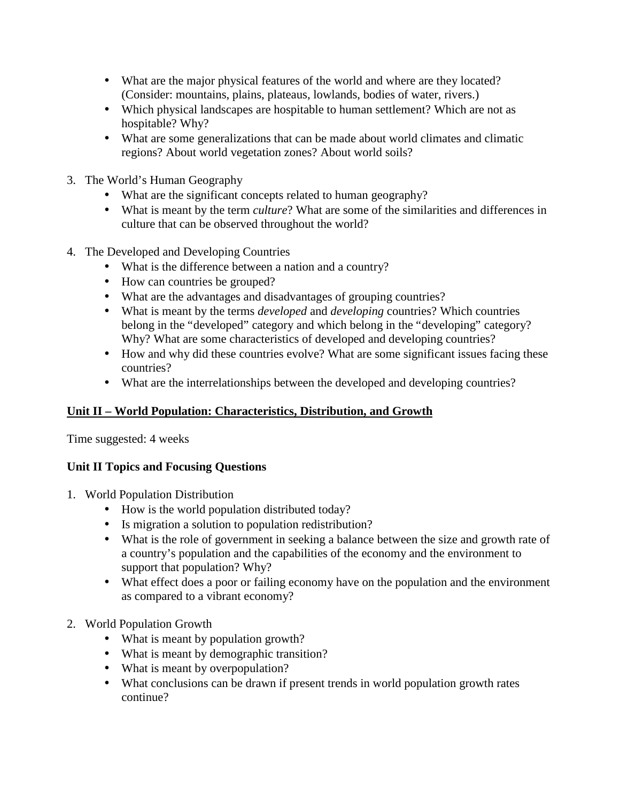- What are the major physical features of the world and where are they located? (Consider: mountains, plains, plateaus, lowlands, bodies of water, rivers.)
- Which physical landscapes are hospitable to human settlement? Which are not as hospitable? Why?
- What are some generalizations that can be made about world climates and climatic regions? About world vegetation zones? About world soils?
- 3. The World's Human Geography
	- What are the significant concepts related to human geography?
	- What is meant by the term *culture*? What are some of the similarities and differences in culture that can be observed throughout the world?
- 4. The Developed and Developing Countries
	- What is the difference between a nation and a country?
	- How can countries be grouped?
	- What are the advantages and disadvantages of grouping countries?
	- What is meant by the terms *developed* and *developing* countries? Which countries belong in the "developed" category and which belong in the "developing" category? Why? What are some characteristics of developed and developing countries?
	- How and why did these countries evolve? What are some significant issues facing these countries?
	- What are the interrelationships between the developed and developing countries?

# **Unit II – World Population: Characteristics, Distribution, and Growth**

Time suggested: 4 weeks

# **Unit II Topics and Focusing Questions**

- 1. World Population Distribution
	- How is the world population distributed today?
	- Is migration a solution to population redistribution?
	- What is the role of government in seeking a balance between the size and growth rate of a country's population and the capabilities of the economy and the environment to support that population? Why?
	- What effect does a poor or failing economy have on the population and the environment as compared to a vibrant economy?
- 2. World Population Growth
	- What is meant by population growth?
	- What is meant by demographic transition?
	- What is meant by overpopulation?
	- What conclusions can be drawn if present trends in world population growth rates continue?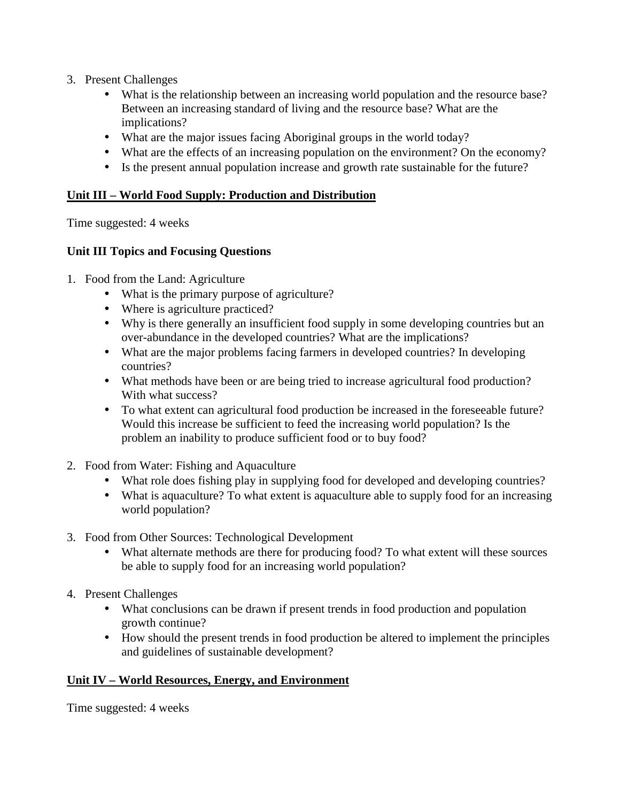- 3. Present Challenges
	- What is the relationship between an increasing world population and the resource base? Between an increasing standard of living and the resource base? What are the implications?
	- What are the major issues facing Aboriginal groups in the world today?
	- What are the effects of an increasing population on the environment? On the economy?
	- Is the present annual population increase and growth rate sustainable for the future?

#### **Unit III – World Food Supply: Production and Distribution**

Time suggested: 4 weeks

#### **Unit III Topics and Focusing Questions**

- 1. Food from the Land: Agriculture
	- What is the primary purpose of agriculture?
	- Where is agriculture practiced?
	- Why is there generally an insufficient food supply in some developing countries but an over-abundance in the developed countries? What are the implications?
	- What are the major problems facing farmers in developed countries? In developing countries?
	- What methods have been or are being tried to increase agricultural food production? With what success?
	- To what extent can agricultural food production be increased in the foreseeable future? Would this increase be sufficient to feed the increasing world population? Is the problem an inability to produce sufficient food or to buy food?
- 2. Food from Water: Fishing and Aquaculture
	- What role does fishing play in supplying food for developed and developing countries?
	- What is aquaculture? To what extent is aquaculture able to supply food for an increasing world population?
- 3. Food from Other Sources: Technological Development
	- What alternate methods are there for producing food? To what extent will these sources be able to supply food for an increasing world population?
- 4. Present Challenges
	- What conclusions can be drawn if present trends in food production and population growth continue?
	- How should the present trends in food production be altered to implement the principles and guidelines of sustainable development?

#### **Unit IV – World Resources, Energy, and Environment**

Time suggested: 4 weeks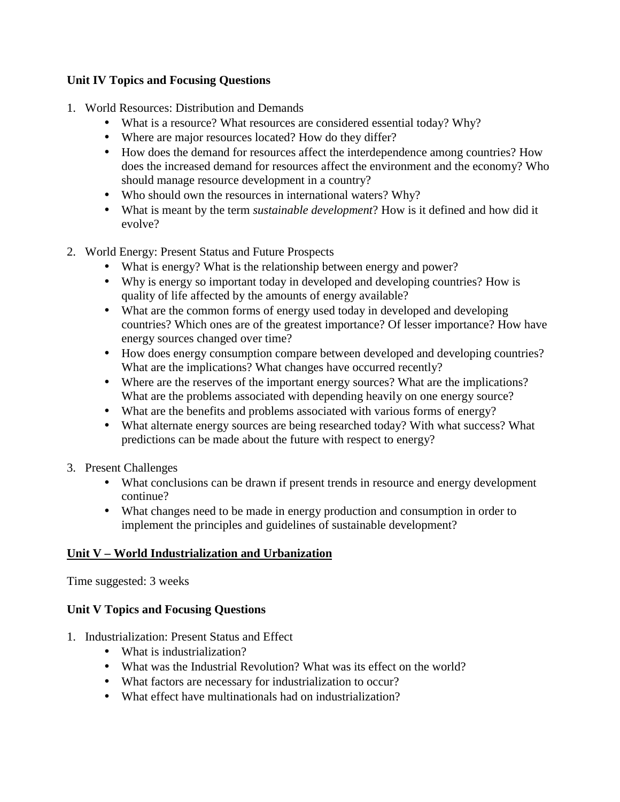### **Unit IV Topics and Focusing Questions**

- 1. World Resources: Distribution and Demands
	- What is a resource? What resources are considered essential today? Why?
	- Where are major resources located? How do they differ?
	- How does the demand for resources affect the interdependence among countries? How does the increased demand for resources affect the environment and the economy? Who should manage resource development in a country?
	- Who should own the resources in international waters? Why?
	- What is meant by the term *sustainable development*? How is it defined and how did it evolve?
- 2. World Energy: Present Status and Future Prospects
	- What is energy? What is the relationship between energy and power?
	- Why is energy so important today in developed and developing countries? How is quality of life affected by the amounts of energy available?
	- What are the common forms of energy used today in developed and developing countries? Which ones are of the greatest importance? Of lesser importance? How have energy sources changed over time?
	- How does energy consumption compare between developed and developing countries? What are the implications? What changes have occurred recently?
	- Where are the reserves of the important energy sources? What are the implications? What are the problems associated with depending heavily on one energy source?
	- What are the benefits and problems associated with various forms of energy?
	- What alternate energy sources are being researched today? With what success? What predictions can be made about the future with respect to energy?
- 3. Present Challenges
	- What conclusions can be drawn if present trends in resource and energy development continue?
	- What changes need to be made in energy production and consumption in order to implement the principles and guidelines of sustainable development?

# **Unit V – World Industrialization and Urbanization**

Time suggested: 3 weeks

# **Unit V Topics and Focusing Questions**

- 1. Industrialization: Present Status and Effect
	- What is industrialization?
	- What was the Industrial Revolution? What was its effect on the world?
	- What factors are necessary for industrialization to occur?
	- What effect have multinationals had on industrialization?